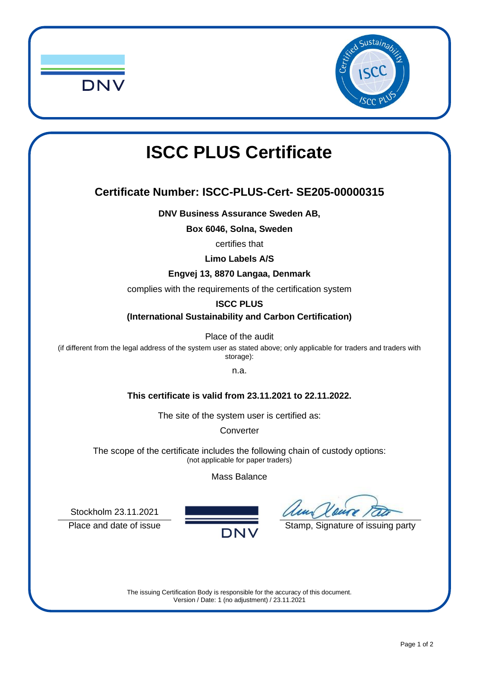



# **ISCC PLUS Certificate**

## **Certificate Number: ISCC-PLUS-Cert- SE205-00000315**

**DNV Business Assurance Sweden AB,**

**Box 6046, Solna, Sweden**

certifies that

**Limo Labels A/S**

**Engvej 13, 8870 Langaa, Denmark**

complies with the requirements of the certification system

**ISCC PLUS**

**(International Sustainability and Carbon Certification)**

Place of the audit

(if different from the legal address of the system user as stated above; only applicable for traders and traders with storage):

n.a.

**This certificate is valid from 23.11.2021 to 22.11.2022.**

The site of the system user is certified as:

**Converter** 

The scope of the certificate includes the following chain of custody options: (not applicable for paper traders)

#### Mass Balance

Place and date of issue  $\overline{DNV}$  Stamp, Signature of issuing party

Stockholm 23.11.2021



The issuing Certification Body is responsible for the accuracy of this document. Version / Date: 1 (no adjustment) / 23.11.2021